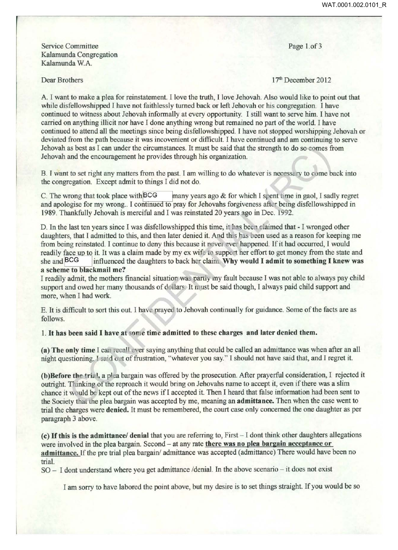Service Committee Kalamunda Congregation Kalamunda W.A.

Dear Brothers

Page 1.of 3

17th December 2012

A I want to make a plea for reinstatement. I love the truth, I love Jehovah. Also would like to point out that while disfellowshipped I have not faithlessly turned back or left Jehovah or his congregation. I have continued to witness about Jehovah informally at every opportunity. I still want to serve him. I have not carried on anything illicit nor have I done anything wrong but remained no part of the world. I have continued to attend all the meetings since being disfellowshipped. I have not stopped worshipping Jehovah or deviated from the path because it was incovenient or difficult. I have continued and am continuing to serve Jehovah as best as I can under the circumstances. It must be said that the strength to do so comes from Jehovah and the encouragement he provides through his organization.

B. I want to set right any matters from the past. I am willing to do whatever is necessary to come back into the congregation. Except admit to things I did not do.

C. The wrong that took place with BCG many years ago  $&$  for which I spent time in gaol, I sadly regret and apologise for my wrong.. I continued to pray for Jehovahs forgiveness after being disfellowshipped in 1989. Thankfully Jehovah is merciful and I was reinstated 20 years ago in Dec. 1992.

D. In the last ten years since I was disfellowshipped this time, it has been claimed that - I wronged other daughters, that I admitted to this, and then later denied it. And this has been used as a reason for keeping me from being reinstated. I continue to deny this because it never ever happened. If it had occurred, I would readily face up to it. It was a claim made by my ex wife to support her effort to get money from the state and she and BCG influenced the daughters to back her claim. Why would I admit to something I knew was a scheme to blackmail me?

I readily admit, the mothers financial situation was partly my fault because I was not able to always pay child support and owed her many thousands of dollars. It must be said though, I always paid child support and more, when I had work.

E. It is difficult to sort this out. I have prayed to Jehovah continually for guidance. Some of the facts are as follows.

1. It has been said I have at some time admitted to these charges and later denied them.

(a) The only time I can recall ever saying anything that could be called an admittance was when after an all night questioning, I said out of frustration, "whatever you say." I should not have said that, and I regret it.

(b)Before the trial, a plea bargain was offered by the prosecution. After prayerful consideration, I rejected it outright. Thinking of the reproach it would bring on Jehovahs name to accept it, even if there was a slim chance it would be kept out of the news if I accepted it. Then I heard that false information had been sent to the Society that the plea bargain was accepted by me, meaning an admittance. Then when the case went to trial the charges were denied. It must be remembered, the court case only concerned the one daughter as per paragraph 3 above.

( c) H this is the admittance/ denial that you are referring to, First - I dont think other daughters allegations were involved in the plea bargain. Second – at any rate there was no plea bargain acceptance or admittance. If the pre trial plea bargain/ admittance was accepted (admittance) There would have been no trial.

SO- I dont understand where you get admittance /denial. In the above scenario-it does not exist

I am sorry to have labored the point above, but my desire is to set things straight. If you would be so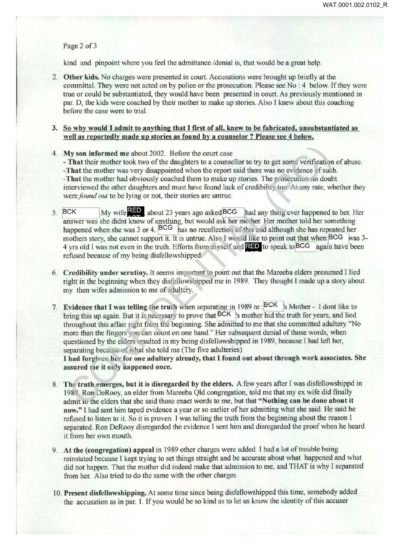Page 2 of 3

kind and pinpoint where you feel the admittance /denial is, that would be a great help.

- 2. Other kids. No charges were presented in court. Accusations were brought up briefly at the committal. They were not acted on by police or the prosecution. Please see No : 4 below. If they were true or could be substantiated, they would have been presented in court. As previously mentioned in par. D, the kids were coached by their mother to make up stories. Also I knew about this coaching before the case went to trial.
- 3. So why would I admit to anything that I first of all, knew to be fabricated, unsubstantiated as well as reportedly made up stories as found by a counselor ? Please see 4 below.
- 4. My son informed me about 2002. Before the court case

- That their mother took two of the daughters to a counsellor to try to get some verification of abuse. -That the mother was very disappointed when the report said there was no ev dence of such. -That the mother had obviously coached them to make up stories. The prosecution no doubt interviewed the other daughters and must have found lack of credibility too. At any rate, whether they were *found out* to be lying or not, their stories are untrue.

- 5. BCK My wife **1.10** about 23 years ago asked BCG had any thing ever happened to her. Her answer was she didnt know of anything, but would ask her mother. Her mother told her something happened when she was  $3$  or  $4.$  BCG has no recollection of this and although she has repeated her mothers story, she cannot support it. It is untrue. Also I would like to point out that when BCG was 3-4 yrs old I was not even in the truth. Efforts from myself and  $R = 0$  to speak to BCG again have been refused because of my being disfellowshipped.
- 6. Credibility under scrutiny. It seems important to point out that the Mareeba elders presumed I lied right in the beginning when they disfellows hipped me in 1989. They thought I made up a story about my then wifes admission to me of adultery.
- 7. Evidence that I was telling the truth when separating in 1989 re: BCK s Mother- I dont like to bring this up again. But it is necessary to prove that BCK s mother hid the truth for years, and lied throughout this affair right from the beginning. She admitted to me that she committed adultery "No more than the fingers you can count on one hand." Her subsequent denial of those words, when questioned by the elders resulted in my being disfellowshipped in 1989, because I had left her, separating because of what she told me (The five adulteries)

I had forgiven her for one adultery already, that I found out about through work associates. She assured me it only happened once.

- The truth emerges, but it is disregarded by the elders. A few years after I was disfellowshippd in 1989. Ron DeRooy, an elder from Mareeba Qld congregation, told me that my ex wife did finally admit to the elders that she said those exact words to me, but that "Nothing can be done about it now." I had sent him taped evidence a year or so earlier of her admitting what she said. He said he refused to listen to it. So it is proven I was telling the truth from the beginning about the reason I separated. Ron DeRooy disregarded the evidence I sent him and disregarded the proof when he heard it from her own mouth.
- 9. At the (congregation) appeal in 1989 other charges were added. I had a lot of trouble being reinstated because I kept trying to set things straight and be accurate about what happened and what did not happen. That the mother did indeed make that admission to me, and THAT is why I separated from her. Also tried to do the same with the other charges.
- 10. Present disfellowshipping. At some time since being disfellowshipped this time, somebody added the accusation as in par. 1. If you would be so kind as to let us know the identity of this accuser